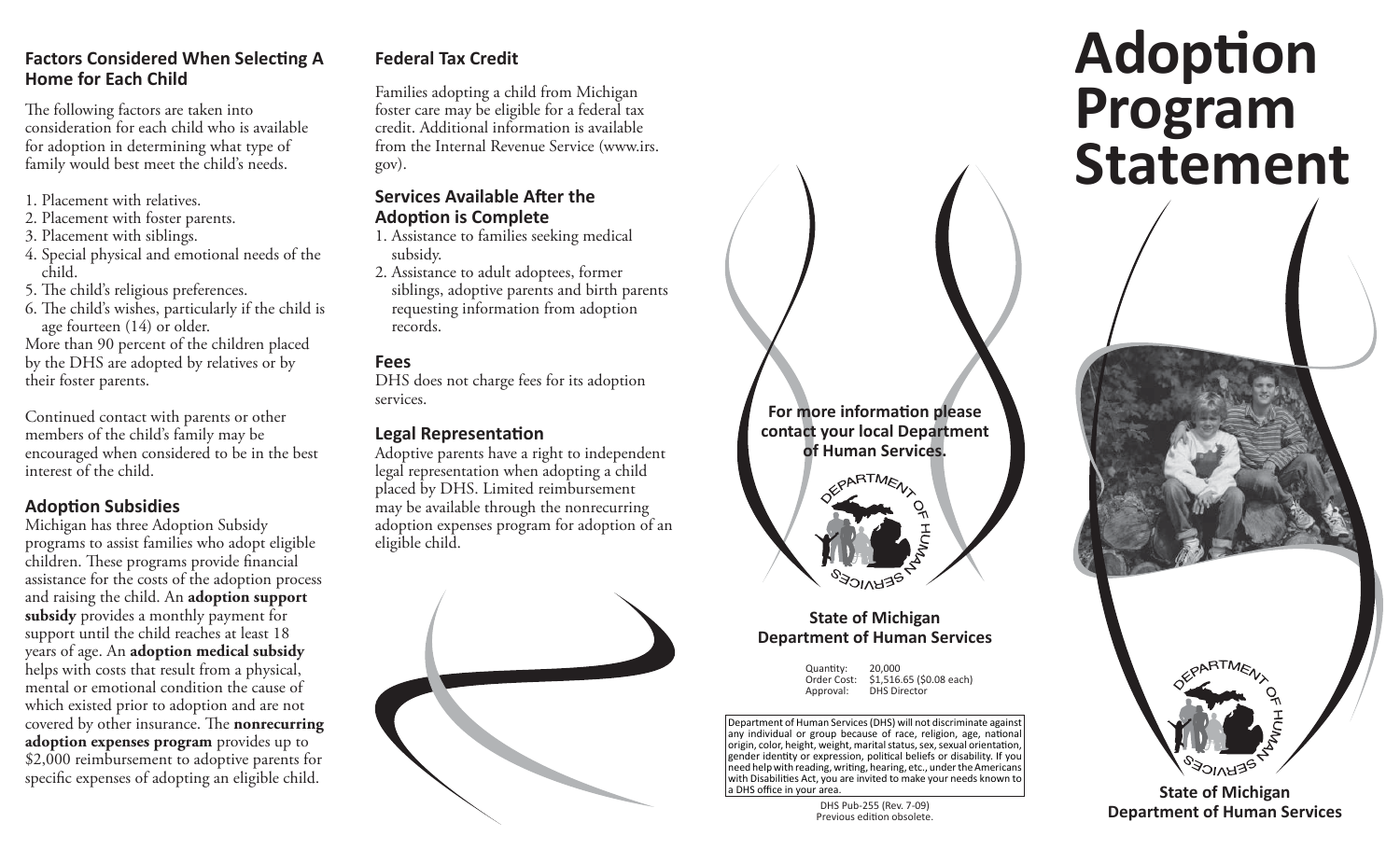### **Factors Considered When Selecting A Home for Each Child**

The following factors are taken into consideration for each child who is available for adoption in determining what type of family would best meet the child's needs.

- 1. Placement with relatives.
- 2. Placement with foster parents.
- 3. Placement with siblings.
- 4. Special physical and emotional needs of the child.
- 5. The child's religious preferences.
- 6. The child's wishes, particularly if the child is age fourteen (14) or older.

More than 90 percent of the children placed by the DHS are adopted by relatives or by their foster parents.

Continued contact with parents or other members of the child's family may be encouraged when considered to be in the best interest of the child.

### **Adop ti on Subsidies**

Michigan has three Adoption Subsidy programs to assist families who adopt eligible children. These programs provide financial assistance for the costs of the adoption process and raising the child. An **adoption support subsidy** provides a monthly payment for support until the child reaches at least 18 years of age. An **adoption medical subsidy** helps with costs that result from a physical, mental or emotional condition the cause of which existed prior to adoption and are not covered by other insurance. The **nonrecurring adoption expenses program** provides up to \$2,000 reimbursement to adoptive parents for specific expenses of adopting an eligible child.

### **Federal Tax Credit**

Families adopting a child from Michigan foster care may be eligible for a federal tax credit. Additional information is available from the Internal Revenue Service (www.irs. gov).

### **Services Available Aft er the Adop ti on is Complete**

- 1. Assistance to families seeking medical subsidy.
- 2. Assistance to adult adoptees, former siblings, adoptive parents and birth parents requesting information from adoption records.

### **Fees**

DHS does not charge fees for its adoption services.

#### **Legal Representation**

Adoptive parents have a right to independent legal representation when adopting a child placed by DHS. Limited reimbursement may be available through the nonrecurring adoption expenses program for adoption of an eligible child.



# **For more informati on please contact your local Department of Human Services.**ARTMENT

### **State of Michigan Department of Human Services**

Quantity: 20,000 Order Cost: \$1,516.65 (\$0.08 each) Approval: DHS Director

Department of Human Services (DHS) will not discriminate against any individual or group because of race, religion, age, national origin, color, height, weight, marital status, sex, sexual orientation, gender identity or expression, political beliefs or disability. If you need help with reading, writing, hearing, etc., under the Americans with Disabilities Act, you are invited to make your needs known to a DHS office in your area.

> DHS Pub-255 (Rev. 7-09) Previous edition obsolete.

### **Adop ti on Program Statement**



**State of Michigan Department of Human Services**